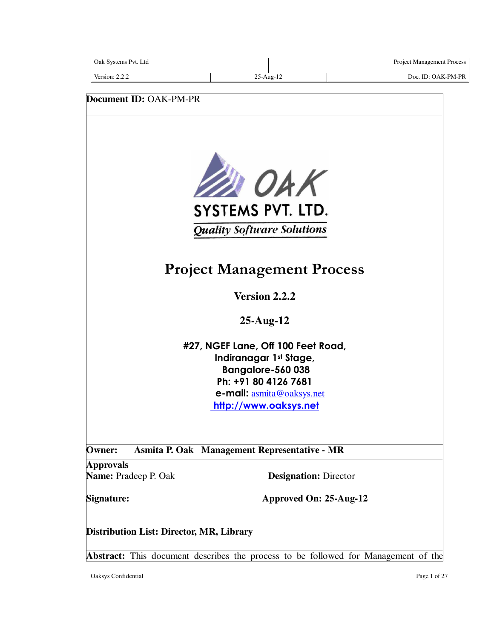| Oak Systems Pvt. Ltd   |                 | <b>Project Management Process</b> |
|------------------------|-----------------|-----------------------------------|
| Version: $2.2.2$       | $25$ -Aug- $12$ | Doc. ID: OAK-PM-PR                |
|                        |                 |                                   |
| Document ID: OAK-PM-PR |                 |                                   |



**Quality Software Solutions** 

# **Project Management Process**

**Version 2.2.2**

**25-Aug-12** 

**#27, NGEF Lane, Off 100 Feet Road, Indiranagar 1st Stage, Bangalore-560 038 Ph: +91 80 4126 7681 e-mail:** asmita@oaksys.net **http://www.oaksys.net**

**Owner: Asmita P. Oak Management Representative - MR** 

**Approvals** 

**Name:** Pradeep P. Oak **Designation:** Director

**Signature: Approved On: 25-Aug-12**

**Distribution List: Director, MR, Library** 

**Abstract:** This document describes the process to be followed for Management of the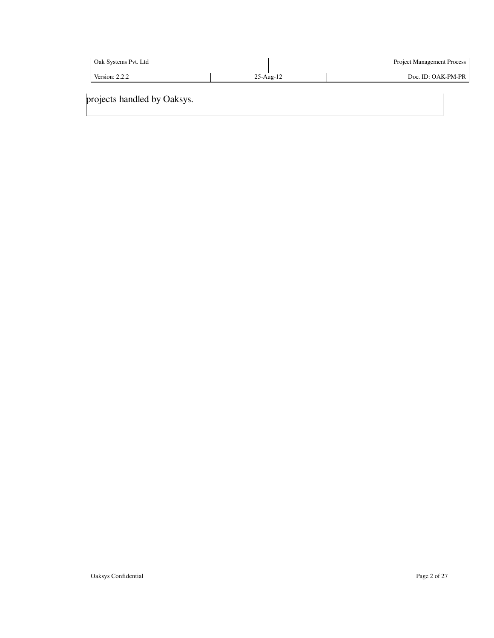| Oak Systems Pvt. Ltd |             | <b>Project Management Process</b> |                    |
|----------------------|-------------|-----------------------------------|--------------------|
| Version: $2.2.2$     | $25-Aug-12$ |                                   | Doc. ID: OAK-PM-PR |

projects handled by Oaksys.

 $\overline{\phantom{a}}$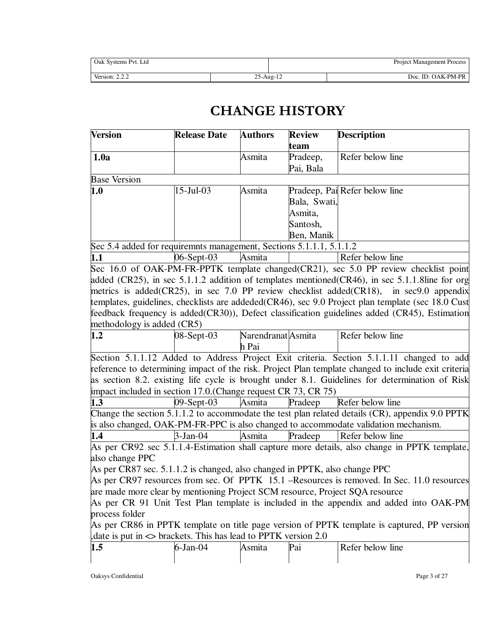| Oak Systems Pvt. Ltd |               | <b>Project Management Process</b> |
|----------------------|---------------|-----------------------------------|
| Version: $2.2.4$     | $25 - Aug-12$ | Doc. ID: OAK-PM-PR                |

# **CHANGE HISTORY**

| <b>Version</b>                                                               | <b>Release Date</b> | <b>Authors</b>     | <b>Review</b>    | <b>Description</b>                                                                                  |
|------------------------------------------------------------------------------|---------------------|--------------------|------------------|-----------------------------------------------------------------------------------------------------|
| 1.0a                                                                         |                     | Asmita             | team<br>Pradeep, | Refer below line                                                                                    |
|                                                                              |                     |                    | Pai, Bala        |                                                                                                     |
| <b>Base Version</b>                                                          |                     |                    |                  |                                                                                                     |
| 1.0                                                                          | 15-Jul-03           | Asmita             |                  | Pradeep, Pai Refer below line                                                                       |
|                                                                              |                     |                    | Bala, Swati,     |                                                                                                     |
|                                                                              |                     |                    | Asmita,          |                                                                                                     |
|                                                                              |                     |                    | Santosh,         |                                                                                                     |
|                                                                              |                     |                    | Ben, Manik       |                                                                                                     |
| Sec 5.4 added for requiremnts management, Sections 5.1.1.1, 5.1.1.2          |                     |                    |                  |                                                                                                     |
| 1.1                                                                          | 06-Sept-03          | Asmita             |                  | Refer below line                                                                                    |
|                                                                              |                     |                    |                  | Sec 16.0 of OAK-PM-FR-PPTK template changed(CR21), sec 5.0 PP review checklist point                |
|                                                                              |                     |                    |                  | added (CR25), in sec 5.1.1.2 addition of templates mentioned $(CR46)$ , in sec 5.1.1.8 line for org |
|                                                                              |                     |                    |                  | metrics is added(CR25), in sec 7.0 PP review checklist added(CR18), in sec9.0 appendix              |
|                                                                              |                     |                    |                  | templates, guidelines, checklists are addeded(CR46), sec 9.0 Project plan template (sec 18.0 Cust   |
|                                                                              |                     |                    |                  | feedback frequency is added(CR30)), Defect classification guidelines added (CR45), Estimation       |
| methodology is added (CR5)                                                   |                     |                    |                  |                                                                                                     |
| 1.2                                                                          | 08-Sept-03          | Narendranat Asmita |                  | Refer below line                                                                                    |
|                                                                              |                     | h Pai              |                  |                                                                                                     |
|                                                                              |                     |                    |                  | Section 5.1.1.12 Added to Address Project Exit criteria. Section 5.1.1.11 changed to add            |
|                                                                              |                     |                    |                  | reference to determining impact of the risk. Project Plan template changed to include exit criteria |
|                                                                              |                     |                    |                  | as section 8.2. existing life cycle is brought under 8.1. Guidelines for determination of Risk      |
| impact included in section 17.0. (Change request CR 73, CR 75)               |                     |                    |                  |                                                                                                     |
| 1.3                                                                          | 09-Sept-03          | Asmita             | Pradeep          | Refer below line                                                                                    |
|                                                                              |                     |                    |                  | Change the section 5.1.1.2 to accommodate the test plan related details (CR), appendix 9.0 PPTK     |
|                                                                              |                     |                    |                  | is also changed, OAK-PM-FR-PPC is also changed to accommodate validation mechanism.                 |
| 1.4                                                                          | 3-Jan-04            | Asmita             | Pradeep          | Refer below line                                                                                    |
|                                                                              |                     |                    |                  | As per CR92 sec 5.1.1.4-Estimation shall capture more details, also change in PPTK template,        |
| also change PPC                                                              |                     |                    |                  |                                                                                                     |
| As per CR87 sec. 5.1.1.2 is changed, also changed in PPTK, also change PPC   |                     |                    |                  |                                                                                                     |
|                                                                              |                     |                    |                  | As per CR97 resources from sec. Of PPTK 15.1 –Resources is removed. In Sec. 11.0 resources          |
| are made more clear by mentioning Project SCM resource, Project SQA resource |                     |                    |                  |                                                                                                     |
|                                                                              |                     |                    |                  | As per CR 91 Unit Test Plan template is included in the appendix and added into OAK-PM              |
| process folder                                                               |                     |                    |                  |                                                                                                     |
|                                                                              |                     |                    |                  | As per CR86 in PPTK template on title page version of PPTK template is captured, PP version         |
| date is put in $\leq$ brackets. This has lead to PPTK version 2.0            |                     |                    |                  |                                                                                                     |
| 1.5                                                                          | $6$ -Jan-04         | Asmita             | Pai              | Refer below line                                                                                    |
|                                                                              |                     |                    |                  |                                                                                                     |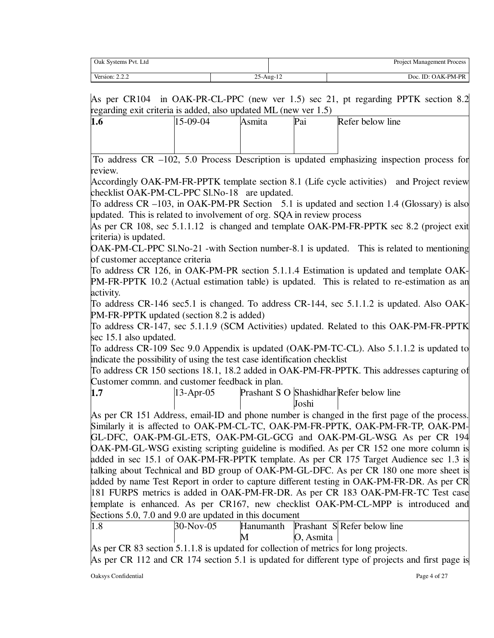| Oak Systems Pvt. Ltd |                 |                | <b>Project Management Process</b> |
|----------------------|-----------------|----------------|-----------------------------------|
| Version: $2.2.2$     | $25$ -Aug- $12$ | 1 <sub>2</sub> | Doc. ID: OAK-PM-PR                |

As per CR104 in OAK-PR-CL-PPC (new ver 1.5) sec 21, pt regarding PPTK section 8.2 regarding exit criteria is added, also updated ML (new ver 1.5)

| .<br>.<br>1.0 | $15-09-04$ | Asmıta | Pai | Refer below line                                                                                                |  |
|---------------|------------|--------|-----|-----------------------------------------------------------------------------------------------------------------|--|
|               |            |        |     |                                                                                                                 |  |
|               |            |        |     |                                                                                                                 |  |
|               |            |        |     | the contract of the contract of the contract of the contract of the contract of the contract of the contract of |  |

 To address CR –102, 5.0 Process Description is updated emphasizing inspection process for review.

Accordingly OAK-PM-FR-PPTK template section 8.1 (Life cycle activities) and Project review checklist OAK-PM-CL-PPC Sl.No-18 are updated.

To address CR –103, in OAK-PM-PR Section 5.1 is updated and section 1.4 (Glossary) is also updated. This is related to involvement of org. SQA in review process

As per CR 108, sec 5.1.1.12 is changed and template OAK-PM-FR-PPTK sec 8.2 (project exit criteria) is updated.

OAK-PM-CL-PPC Sl.No-21 -with Section number-8.1 is updated. This is related to mentioning of customer acceptance criteria

To address CR 126, in OAK-PM-PR section 5.1.1.4 Estimation is updated and template OAK-PM-FR-PPTK 10.2 (Actual estimation table) is updated. This is related to re-estimation as an activity.

To address CR-146 sec5.1 is changed. To address CR-144, sec 5.1.1.2 is updated. Also OAK-PM-FR-PPTK updated (section 8.2 is added)

To address CR-147, sec 5.1.1.9 (SCM Activities) updated. Related to this OAK-PM-FR-PPTK sec 15.1 also updated.

To address CR-109 Sec 9.0 Appendix is updated (OAK-PM-TC-CL). Also 5.1.1.2 is updated to indicate the possibility of using the test case identification checklist

To address CR 150 sections 18.1, 18.2 added in OAK-PM-FR-PPTK. This addresses capturing of Customer commn. and customer feedback in plan.

**1.7** 13-Apr-05 Prashant S O Shashidhar Refer below line Joshi

As per CR 151 Address, email-ID and phone number is changed in the first page of the process. Similarly it is affected to OAK-PM-CL-TC, OAK-PM-FR-PPTK, OAK-PM-FR-TP, OAK-PM-GL-DFC, OAK-PM-GL-ETS, OAK-PM-GL-GCG and OAK-PM-GL-WSG. As per CR 194 OAK-PM-GL-WSG existing scripting guideline is modified. As per CR 152 one more column is added in sec 15.1 of OAK-PM-FR-PPTK template. As per CR 175 Target Audience sec 1.3 is talking about Technical and BD group of OAK-PM-GL-DFC. As per CR 180 one more sheet is added by name Test Report in order to capture different testing in OAK-PM-FR-DR. As per CR 181 FURPS metrics is added in OAK-PM-FR-DR. As per CR 183 OAK-PM-FR-TC Test case template is enhanced. As per CR167, new checklist OAK-PM-CL-MPP is introduced and Sections 5.0, 7.0 and 9.0 are updated in this document

| $ 1.\delta$ | $30-Nov-05$ |   | Hanumanth Prashant S Refer below line |
|-------------|-------------|---|---------------------------------------|
|             |             | M | O, Asmita                             |

As per CR 83 section 5.1.1.8 is updated for collection of metrics for long projects.

As per CR 112 and CR 174 section 5.1 is updated for different type of projects and first page is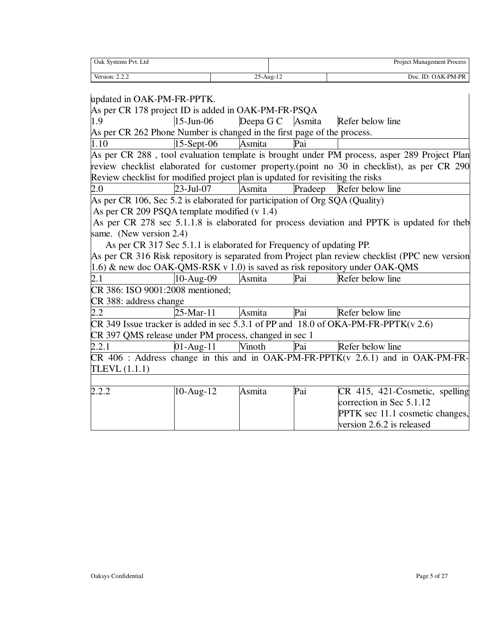| Oak Systems Pvt. Ltd |              | <b>Project Management Process</b> |
|----------------------|--------------|-----------------------------------|
| Version: 2.2.2       | $25$ -Aug-12 | Doc. ID: OAK-PM-PR                |

| updated in OAK-PM-FR-PPTK.                                                     |               |           |         |                                                                                                |
|--------------------------------------------------------------------------------|---------------|-----------|---------|------------------------------------------------------------------------------------------------|
| As per CR 178 project ID is added in OAK-PM-FR-PSQA                            |               |           |         |                                                                                                |
| 1.9                                                                            | $15$ -Jun-06  | Deepa G C | Asmita  | Refer below line                                                                               |
| As per CR 262 Phone Number is changed in the first page of the process.        |               |           |         |                                                                                                |
| 1.10                                                                           | $15$ -Sept-06 | Asmita    | Pai     |                                                                                                |
|                                                                                |               |           |         | As per CR 288, tool evaluation template is brought under PM process, asper 289 Project Plan    |
|                                                                                |               |           |         | review checklist elaborated for customer property. (point no 30 in checklist), as per CR 290   |
| Review checklist for modified project plan is updated for revisiting the risks |               |           |         |                                                                                                |
| 2.0                                                                            | 23-Jul-07     | Asmita    | Pradeep | Refer below line                                                                               |
| As per CR 106, Sec 5.2 is elaborated for participation of Org SQA (Quality)    |               |           |         |                                                                                                |
| As per CR 209 PSQA template modified (v 1.4)                                   |               |           |         |                                                                                                |
|                                                                                |               |           |         | As per CR 278 sec 5.1.1.8 is elaborated for process deviation and PPTK is updated for theb     |
| same. (New version 2.4)                                                        |               |           |         |                                                                                                |
| As per CR 317 Sec 5.1.1 is elaborated for Frequency of updating PP.            |               |           |         |                                                                                                |
|                                                                                |               |           |         | As per CR 316 Risk repository is separated from Project plan review checklist (PPC new version |
| 1.6) & new doc OAK-QMS-RSK v 1.0) is saved as risk repository under OAK-QMS    |               |           |         |                                                                                                |
| $\overline{2.1}$                                                               | $10-Aug-09$   | Asmita    | Pai     | Refer below line                                                                               |
| CR 386: ISO 9001:2008 mentioned;                                               |               |           |         |                                                                                                |
| CR 388: address change                                                         |               |           |         |                                                                                                |
| 2.2                                                                            | 25-Mar-11     | Asmita    | Pai     | Refer below line                                                                               |
|                                                                                |               |           |         | CR 349 Issue tracker is added in sec 5.3.1 of PP and 18.0 of OKA-PM-FR-PPTK( $v$ 2.6)          |
| CR 397 QMS release under PM process, changed in sec 1                          |               |           |         |                                                                                                |
| 2.2.1                                                                          | $01$ -Aug-11  | Vinoth    | Pai     | Refer below line                                                                               |
|                                                                                |               |           |         | $CR$ 406 : Address change in this and in OAK-PM-FR-PPTK(v 2.6.1) and in OAK-PM-FR-             |
| TLEVL $(1.1.1)$                                                                |               |           |         |                                                                                                |
|                                                                                |               |           |         |                                                                                                |
| 2.2.2                                                                          | 10-Aug-12     | Asmita    | Pai     | CR 415, 421-Cosmetic, spelling                                                                 |
|                                                                                |               |           |         | correction in Sec 5.1.12                                                                       |
|                                                                                |               |           |         | PPTK sec 11.1 cosmetic changes,                                                                |
|                                                                                |               |           |         | version 2.6.2 is released                                                                      |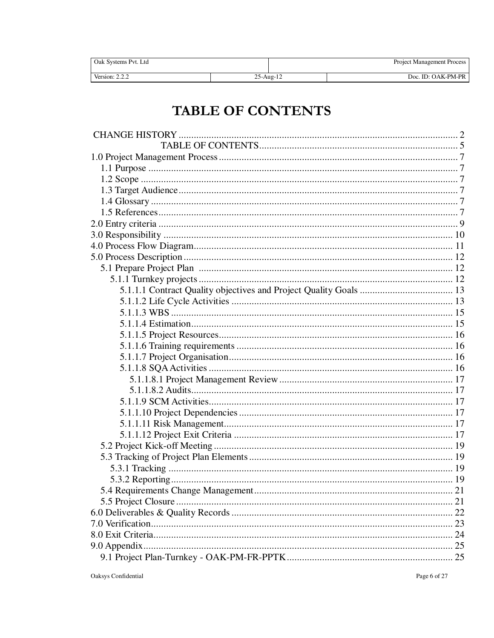| Oak Systems Pvt. Ltd |                 | Project Management Process |
|----------------------|-----------------|----------------------------|
| Version: $2.2.2$     | $25$ -Aug- $12$ | Doc. ID: OAK-PM-PR         |

# **TABLE OF CONTENTS**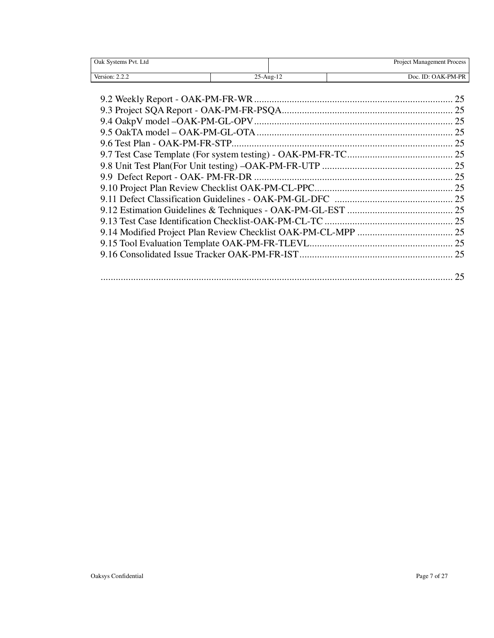| Oak Systems Pvt. Ltd |           | Project Management Process |
|----------------------|-----------|----------------------------|
| Version: 2.2.2       | 25-Aug-12 | Doc. ID: OAK-PM-PR         |
|                      |           |                            |
|                      |           | 25                         |
|                      |           |                            |
|                      |           |                            |
|                      |           |                            |
|                      |           |                            |
|                      |           |                            |
|                      |           |                            |
|                      |           |                            |
|                      |           |                            |
|                      |           |                            |
|                      |           |                            |
|                      |           |                            |
|                      |           |                            |
|                      |           |                            |
|                      |           | 25                         |
|                      |           |                            |
|                      |           |                            |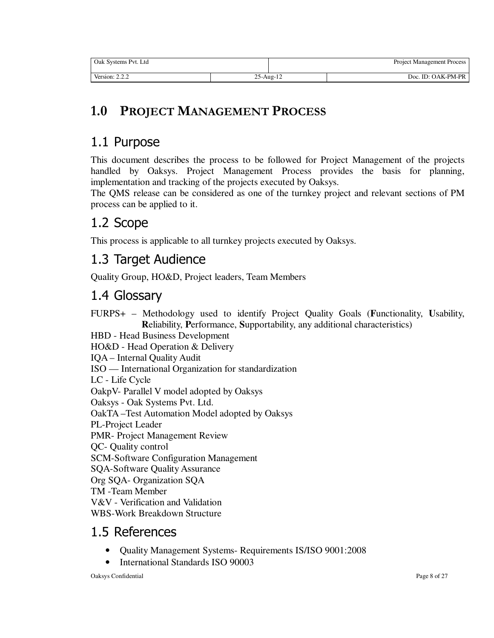| Oak Systems Pyt. Ltd |           | <b>Project Management Process</b> |
|----------------------|-----------|-----------------------------------|
| Version: 2.2.2       | 25-Aug-12 | Doc. ID: OAK-PM-PR                |

# **1.0 PROJECT MANAGEMENT PROCESS**

# 1.1 Purpose

This document describes the process to be followed for Project Management of the projects handled by Oaksys. Project Management Process provides the basis for planning, implementation and tracking of the projects executed by Oaksys.

The QMS release can be considered as one of the turnkey project and relevant sections of PM process can be applied to it.

## 1.2 Scope

This process is applicable to all turnkey projects executed by Oaksys.

### 1.3 Target Audience

Quality Group, HO&D, Project leaders, Team Members

### 1.4 Glossary

FURPS+ – Methodology used to identify Project Quality Goals (**F**unctionality, **U**sability, **R**eliability, **P**erformance, **S**upportability, any additional characteristics) HBD - Head Business Development HO&D - Head Operation & Delivery IQA – Internal Quality Audit ISO — International Organization for standardization LC - Life Cycle OakpV- Parallel V model adopted by Oaksys Oaksys - Oak Systems Pvt. Ltd. OakTA –Test Automation Model adopted by Oaksys PL-Project Leader PMR- Project Management Review QC- Quality control SCM-Software Configuration Management SQA-Software Quality Assurance Org SQA- Organization SQA TM -Team Member V&V - Verification and Validation WBS-Work Breakdown Structure

### 1.5 References

- Quality Management Systems- Requirements IS/ISO 9001:2008
- International Standards ISO 90003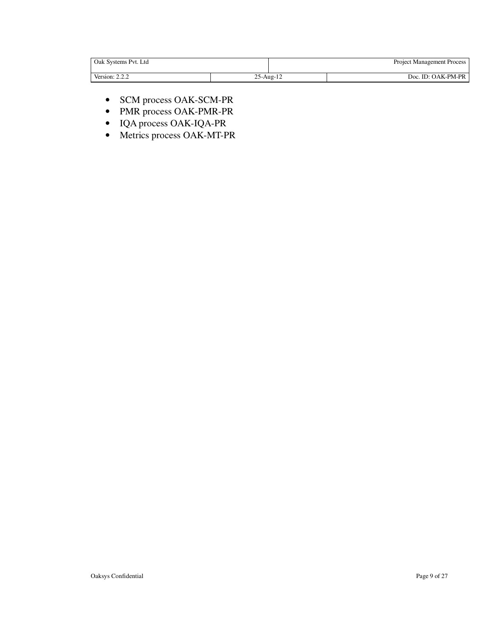| Oak Systems Pvt. Ltd |               | <b>Project Management Process</b> |
|----------------------|---------------|-----------------------------------|
| Version: $2.2.2$     | $25 - Aug-12$ | Doc. ID: OAK-PM-PR                |

- SCM process OAK-SCM-PR
- PMR process OAK-PMR-PR
- IQA process OAK-IQA-PR
- Metrics process OAK-MT-PR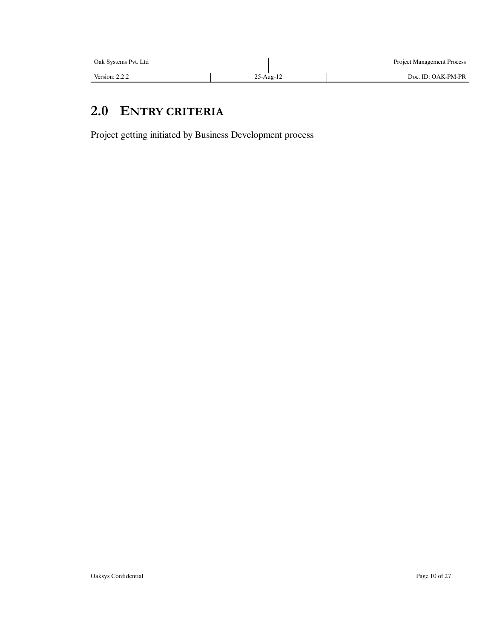| Oak Systems Pvt. Ltd |                 | <b>Project Management Process</b> |
|----------------------|-----------------|-----------------------------------|
| Version: $2.2.4$     | $25$ -Aug- $12$ | Doc. ID: OAK-PM-PR                |

## **2.0 ENTRY CRITERIA**

Project getting initiated by Business Development process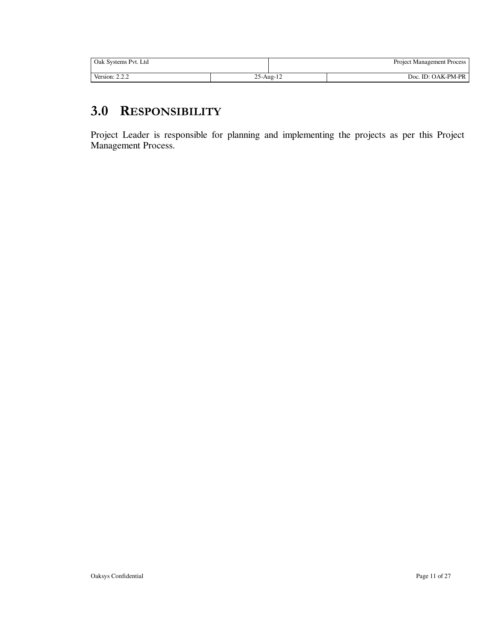| Oak Systems Pvt. Ltd           |           | <b>Project Management Process</b> |
|--------------------------------|-----------|-----------------------------------|
| Version: 2.<br>222<br><u>.</u> | 25-Aug-12 | Doc. ID: OAK-PM-PR                |

### **3.0 RESPONSIBILITY**

Project Leader is responsible for planning and implementing the projects as per this Project Management Process.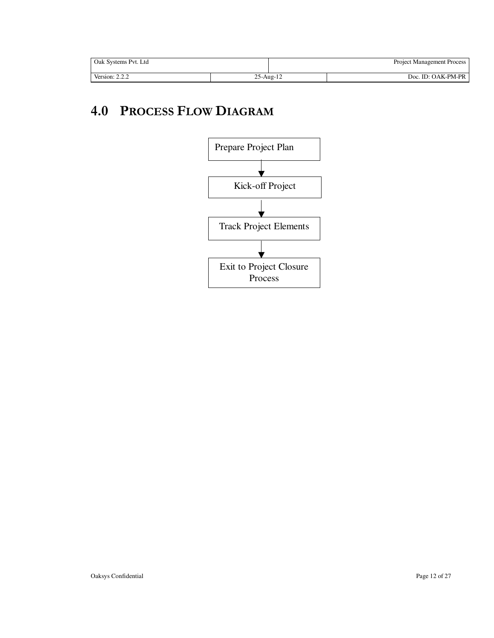| Oak Systems Pvt. Ltd |              | <b>Project Management Process</b> |
|----------------------|--------------|-----------------------------------|
| Version: $2.2.2$     | $25$ -Aug-12 | Doc. ID: OAK-PM-PR                |

# **4.0 PROCESS FLOW DIAGRAM**

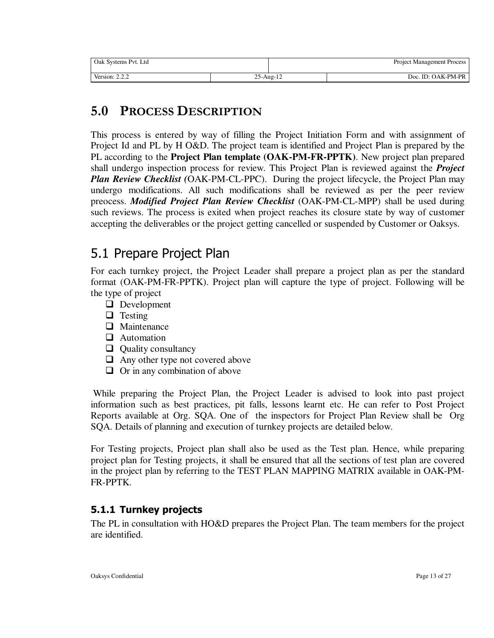| Oak Systems Pvt. Ltd |                 | <b>Project Management Process</b> |
|----------------------|-----------------|-----------------------------------|
| Version: 2.2.2       | $25$ -Aug- $12$ | Doc. ID: OAK-PM-PR                |

### **5.0 PROCESS DESCRIPTION**

This process is entered by way of filling the Project Initiation Form and with assignment of Project Id and PL by H O&D. The project team is identified and Project Plan is prepared by the PL according to the **Project Plan template (OAK-PM-FR-PPTK)**. New project plan prepared shall undergo inspection process for review. This Project Plan is reviewed against the *Project Plan Review Checklist (*OAK-PM-CL-PPC). During the project lifecycle, the Project Plan may undergo modifications. All such modifications shall be reviewed as per the peer review preocess. *Modified Project Plan Review Checklist* (OAK-PM-CL-MPP) shall be used during such reviews. The process is exited when project reaches its closure state by way of customer accepting the deliverables or the project getting cancelled or suspended by Customer or Oaksys.

## 5.1 Prepare Project Plan

For each turnkey project, the Project Leader shall prepare a project plan as per the standard format (OAK-PM-FR-PPTK). Project plan will capture the type of project. Following will be the type of project

- **D** Development
- $\Box$  Testing
- **Q** Maintenance
- **Q** Automation
- $\Box$  Quality consultancy
- $\Box$  Any other type not covered above
- $\Box$  Or in any combination of above

 While preparing the Project Plan, the Project Leader is advised to look into past project information such as best practices, pit falls, lessons learnt etc. He can refer to Post Project Reports available at Org. SQA. One of the inspectors for Project Plan Review shall be Org SQA. Details of planning and execution of turnkey projects are detailed below.

For Testing projects, Project plan shall also be used as the Test plan. Hence, while preparing project plan for Testing projects, it shall be ensured that all the sections of test plan are covered in the project plan by referring to the TEST PLAN MAPPING MATRIX available in OAK-PM-FR-PPTK.

### **5.1.1 Turnkey projects**

The PL in consultation with HO&D prepares the Project Plan. The team members for the project are identified.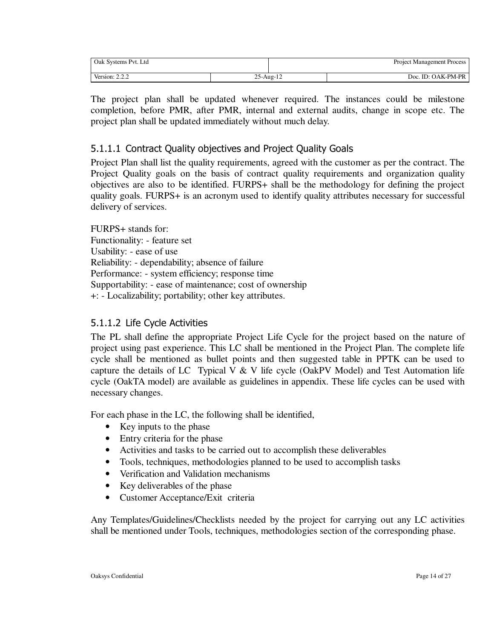| Oak Systems Pvt. Ltd |           | <b>Project Management Process</b> |
|----------------------|-----------|-----------------------------------|
| Version: $2.2.2$     | 25-Aug-12 | $ID: OAK-PM-PR$<br>$\overline{a}$ |

The project plan shall be updated whenever required. The instances could be milestone completion, before PMR, after PMR, internal and external audits, change in scope etc. The project plan shall be updated immediately without much delay.

#### 5.1.1.1 Contract Quality objectives and Project Quality Goals

Project Plan shall list the quality requirements, agreed with the customer as per the contract. The Project Quality goals on the basis of contract quality requirements and organization quality objectives are also to be identified. FURPS+ shall be the methodology for defining the project quality goals. FURPS+ is an acronym used to identify quality attributes necessary for successful delivery of services.

FURPS+ stands for: Functionality: - feature set Usability: - ease of use Reliability: - dependability; absence of failure Performance: - system efficiency; response time Supportability: - ease of maintenance; cost of ownership +: - Localizability; portability; other key attributes.

#### 5.1.1.2 Life Cycle Activities

The PL shall define the appropriate Project Life Cycle for the project based on the nature of project using past experience. This LC shall be mentioned in the Project Plan. The complete life cycle shall be mentioned as bullet points and then suggested table in PPTK can be used to capture the details of LC Typical V & V life cycle (OakPV Model) and Test Automation life cycle (OakTA model) are available as guidelines in appendix. These life cycles can be used with necessary changes.

For each phase in the LC, the following shall be identified,

- Key inputs to the phase
- Entry criteria for the phase
- Activities and tasks to be carried out to accomplish these deliverables
- Tools, techniques, methodologies planned to be used to accomplish tasks
- Verification and Validation mechanisms
- Key deliverables of the phase
- Customer Acceptance/Exit criteria

Any Templates/Guidelines/Checklists needed by the project for carrying out any LC activities shall be mentioned under Tools, techniques, methodologies section of the corresponding phase.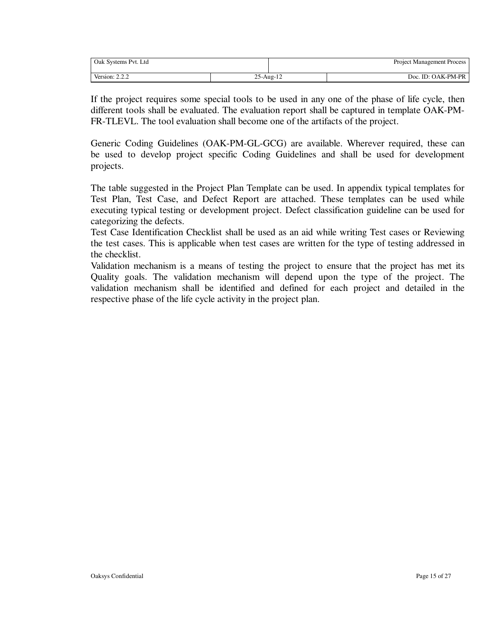| Oak Systems Pvt. Ltd |                 | <b>Project Management Process</b> |
|----------------------|-----------------|-----------------------------------|
| Version: $2.2.2$     | $25$ -Aug- $12$ | Doc. ID: OAK-PM-PR                |

If the project requires some special tools to be used in any one of the phase of life cycle, then different tools shall be evaluated. The evaluation report shall be captured in template OAK-PM-FR-TLEVL. The tool evaluation shall become one of the artifacts of the project.

Generic Coding Guidelines (OAK-PM-GL-GCG) are available. Wherever required, these can be used to develop project specific Coding Guidelines and shall be used for development projects.

The table suggested in the Project Plan Template can be used. In appendix typical templates for Test Plan, Test Case, and Defect Report are attached. These templates can be used while executing typical testing or development project. Defect classification guideline can be used for categorizing the defects.

Test Case Identification Checklist shall be used as an aid while writing Test cases or Reviewing the test cases. This is applicable when test cases are written for the type of testing addressed in the checklist.

Validation mechanism is a means of testing the project to ensure that the project has met its Quality goals. The validation mechanism will depend upon the type of the project. The validation mechanism shall be identified and defined for each project and detailed in the respective phase of the life cycle activity in the project plan.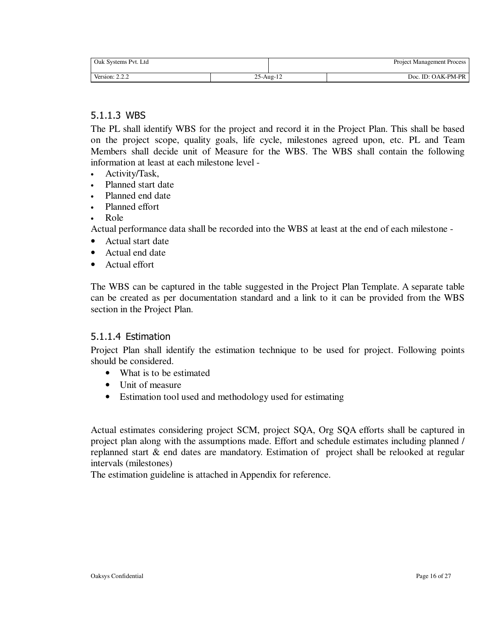| Oak Systems Pvt. Ltd |               | <b>Project Management Process</b> |
|----------------------|---------------|-----------------------------------|
| Version: $2.2.2$     | $25 - Aug-12$ | Doc. ID: OAK-PM-PR                |

#### 5.1.1.3 WBS

The PL shall identify WBS for the project and record it in the Project Plan. This shall be based on the project scope, quality goals, life cycle, milestones agreed upon, etc. PL and Team Members shall decide unit of Measure for the WBS. The WBS shall contain the following information at least at each milestone level -

- Activity/Task,
- Planned start date
- Planned end date
- Planned effort
- Role

Actual performance data shall be recorded into the WBS at least at the end of each milestone -

- Actual start date
- Actual end date
- Actual effort

The WBS can be captured in the table suggested in the Project Plan Template. A separate table can be created as per documentation standard and a link to it can be provided from the WBS section in the Project Plan.

#### 5.1.1.4 Estimation

Project Plan shall identify the estimation technique to be used for project. Following points should be considered.

- What is to be estimated
- Unit of measure
- Estimation tool used and methodology used for estimating

Actual estimates considering project SCM, project SQA, Org SQA efforts shall be captured in project plan along with the assumptions made. Effort and schedule estimates including planned / replanned start & end dates are mandatory. Estimation of project shall be relooked at regular intervals (milestones)

The estimation guideline is attached in Appendix for reference.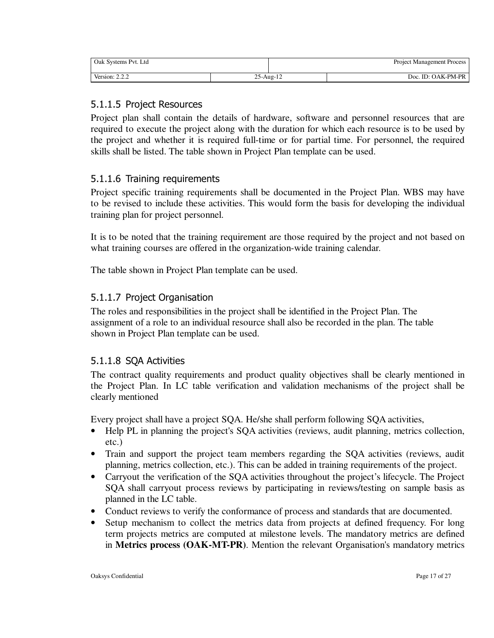| Oak Systems Pvt. Ltd |           | Process<br>Project Management I |
|----------------------|-----------|---------------------------------|
| Version: $2.2.2$     | 25-Aug-12 | Doc. ID: OAK-PM-PR              |

#### 5.1.1.5 Project Resources

Project plan shall contain the details of hardware, software and personnel resources that are required to execute the project along with the duration for which each resource is to be used by the project and whether it is required full-time or for partial time. For personnel, the required skills shall be listed. The table shown in Project Plan template can be used.

#### 5.1.1.6 Training requirements

Project specific training requirements shall be documented in the Project Plan. WBS may have to be revised to include these activities. This would form the basis for developing the individual training plan for project personnel.

It is to be noted that the training requirement are those required by the project and not based on what training courses are offered in the organization-wide training calendar.

The table shown in Project Plan template can be used.

#### 5.1.1.7 Project Organisation

The roles and responsibilities in the project shall be identified in the Project Plan. The assignment of a role to an individual resource shall also be recorded in the plan. The table shown in Project Plan template can be used.

#### 5.1.1.8 SQA Activities

The contract quality requirements and product quality objectives shall be clearly mentioned in the Project Plan. In LC table verification and validation mechanisms of the project shall be clearly mentioned

Every project shall have a project SQA. He/she shall perform following SQA activities,

- Help PL in planning the project's SQA activities (reviews, audit planning, metrics collection, etc.)
- Train and support the project team members regarding the SOA activities (reviews, audit planning, metrics collection, etc.). This can be added in training requirements of the project.
- Carryout the verification of the SQA activities throughout the project's lifecycle. The Project SQA shall carryout process reviews by participating in reviews/testing on sample basis as planned in the LC table.
- Conduct reviews to verify the conformance of process and standards that are documented.
- Setup mechanism to collect the metrics data from projects at defined frequency. For long term projects metrics are computed at milestone levels. The mandatory metrics are defined in **Metrics process (OAK-MT-PR)**. Mention the relevant Organisation's mandatory metrics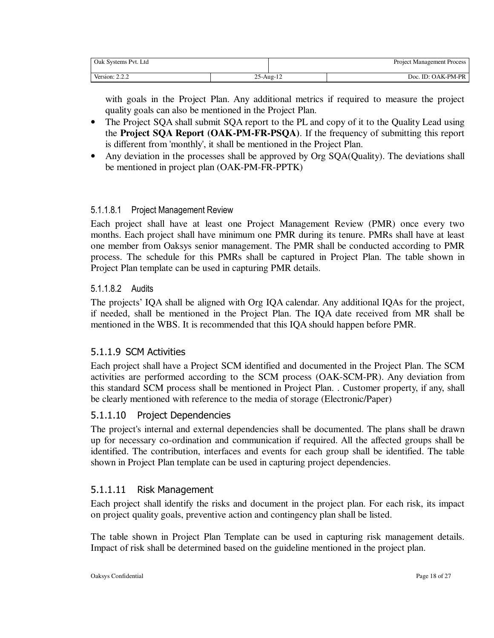| Oak Systems Pvt. Ltd                       |                 | <b>Project Management Process</b> |
|--------------------------------------------|-----------------|-----------------------------------|
| Version: $\angle$<br>222<br><u>_ _ _ _</u> | $25$ -Aug- $12$ | Doc. ID: OAK-PM-PR                |

with goals in the Project Plan. Any additional metrics if required to measure the project quality goals can also be mentioned in the Project Plan.

- The Project SQA shall submit SQA report to the PL and copy of it to the Quality Lead using the **Project SQA Report (OAK-PM-FR-PSQA)**. If the frequency of submitting this report is different from 'monthly', it shall be mentioned in the Project Plan.
- Any deviation in the processes shall be approved by Org SQA(Quality). The deviations shall be mentioned in project plan (OAK-PM-FR-PPTK)

#### 5.1.1.8.1 Project Management Review

Each project shall have at least one Project Management Review (PMR) once every two months. Each project shall have minimum one PMR during its tenure. PMRs shall have at least one member from Oaksys senior management. The PMR shall be conducted according to PMR process. The schedule for this PMRs shall be captured in Project Plan. The table shown in Project Plan template can be used in capturing PMR details.

#### 5.1.1.8.2 Audits

The projects' IQA shall be aligned with Org IQA calendar. Any additional IQAs for the project, if needed, shall be mentioned in the Project Plan. The IQA date received from MR shall be mentioned in the WBS. It is recommended that this IQA should happen before PMR.

#### 5.1.1.9 SCM Activities

Each project shall have a Project SCM identified and documented in the Project Plan. The SCM activities are performed according to the SCM process (OAK-SCM-PR). Any deviation from this standard SCM process shall be mentioned in Project Plan. . Customer property, if any, shall be clearly mentioned with reference to the media of storage (Electronic/Paper)

#### 5.1.1.10 Project Dependencies

The project's internal and external dependencies shall be documented. The plans shall be drawn up for necessary co-ordination and communication if required. All the affected groups shall be identified. The contribution, interfaces and events for each group shall be identified. The table shown in Project Plan template can be used in capturing project dependencies.

#### 5.1.1.11 Risk Management

Each project shall identify the risks and document in the project plan. For each risk, its impact on project quality goals, preventive action and contingency plan shall be listed.

The table shown in Project Plan Template can be used in capturing risk management details. Impact of risk shall be determined based on the guideline mentioned in the project plan.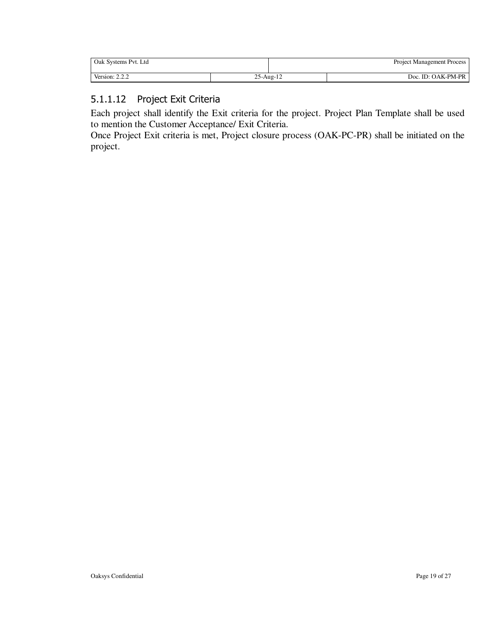| Oak Systems Pvt. Ltd |           | <b>Project Management Process</b> |
|----------------------|-----------|-----------------------------------|
| Version: $2.2.2$     | 25-Aug-12 | Doc. ID: OAK-PM-PR                |

#### 5.1.1.12 Project Exit Criteria

Each project shall identify the Exit criteria for the project. Project Plan Template shall be used to mention the Customer Acceptance/ Exit Criteria.

Once Project Exit criteria is met, Project closure process (OAK-PC-PR) shall be initiated on the project.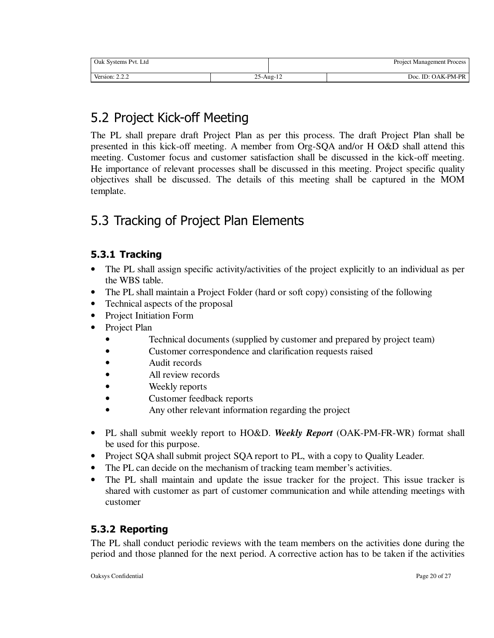| Oak Systems Pvt. Ltd |                 | <b>Project Management Process</b> |                    |  |
|----------------------|-----------------|-----------------------------------|--------------------|--|
| Version: $2.2.2$     | $25$ -Aug- $12$ |                                   | Doc. ID: OAK-PM-PR |  |

# 5.2 Project Kick-off Meeting

The PL shall prepare draft Project Plan as per this process. The draft Project Plan shall be presented in this kick-off meeting. A member from Org-SQA and/or H O&D shall attend this meeting. Customer focus and customer satisfaction shall be discussed in the kick-off meeting. He importance of relevant processes shall be discussed in this meeting. Project specific quality objectives shall be discussed. The details of this meeting shall be captured in the MOM template.

# 5.3 Tracking of Project Plan Elements

### **5.3.1 Tracking**

- The PL shall assign specific activity/activities of the project explicitly to an individual as per the WBS table.
- The PL shall maintain a Project Folder (hard or soft copy) consisting of the following
- Technical aspects of the proposal
- Project Initiation Form
- Project Plan
	- Technical documents (supplied by customer and prepared by project team)
	- Customer correspondence and clarification requests raised
	- Audit records
	- All review records
	- Weekly reports
	- Customer feedback reports
	- Any other relevant information regarding the project
- PL shall submit weekly report to HO&D. *Weekly Report* (OAK-PM-FR-WR) format shall be used for this purpose.
- Project SQA shall submit project SQA report to PL, with a copy to Quality Leader.
- The PL can decide on the mechanism of tracking team member's activities.
- The PL shall maintain and update the issue tracker for the project. This issue tracker is shared with customer as part of customer communication and while attending meetings with customer

### **5.3.2 Reporting**

The PL shall conduct periodic reviews with the team members on the activities done during the period and those planned for the next period. A corrective action has to be taken if the activities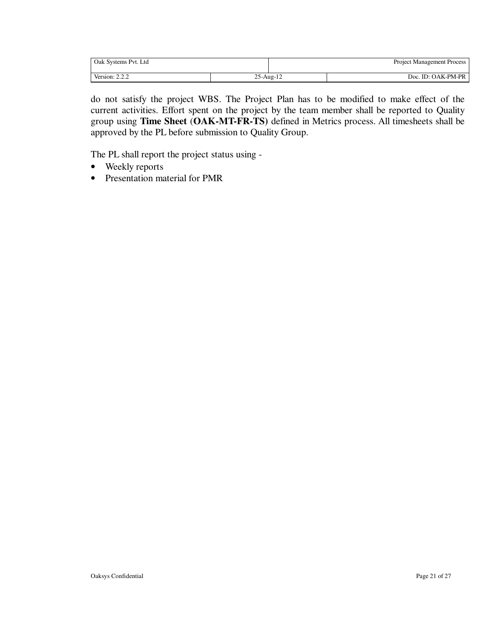| Oak Systems Pvt. Ltd |           |  | Project Management Process |
|----------------------|-----------|--|----------------------------|
| Version: $2.2.2$     | 25-Aug-12 |  | Doc. ID: OAK-PM-PR         |

do not satisfy the project WBS. The Project Plan has to be modified to make effect of the current activities. Effort spent on the project by the team member shall be reported to Quality group using **Time Sheet** (**OAK-MT-FR-TS)** defined in Metrics process. All timesheets shall be approved by the PL before submission to Quality Group.

The PL shall report the project status using -

- Weekly reports
- Presentation material for PMR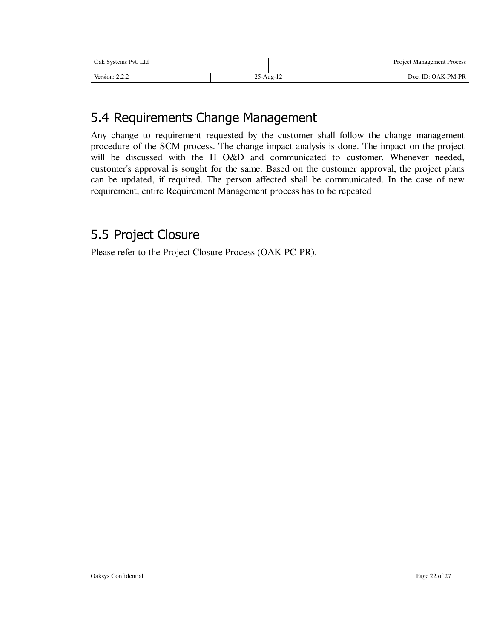| Oak Systems Pvt. Ltd    |                 | <b>Project Management Process</b> |                    |  |
|-------------------------|-----------------|-----------------------------------|--------------------|--|
| Version: 2.<br>$\Omega$ | $25$ -Aug- $12$ |                                   | Doc. ID: OAK-PM-PR |  |

# 5.4 Requirements Change Management

Any change to requirement requested by the customer shall follow the change management procedure of the SCM process. The change impact analysis is done. The impact on the project will be discussed with the H O&D and communicated to customer. Whenever needed, customer's approval is sought for the same. Based on the customer approval, the project plans can be updated, if required. The person affected shall be communicated. In the case of new requirement, entire Requirement Management process has to be repeated

### 5.5 Project Closure

Please refer to the Project Closure Process (OAK-PC-PR).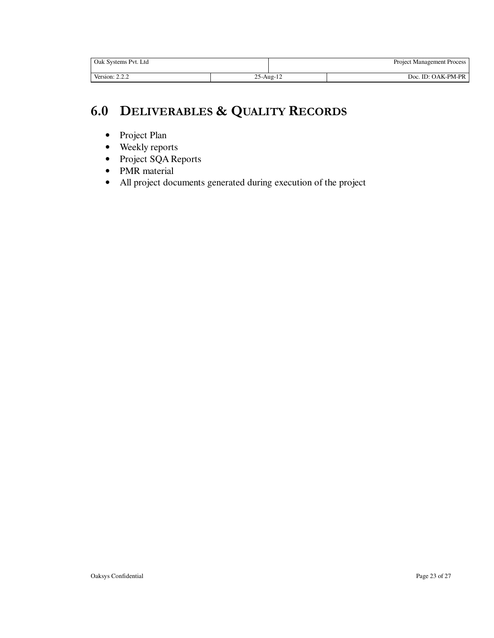| Oak Systems Pvt. Ltd |               | <b>Project Management Process</b> |
|----------------------|---------------|-----------------------------------|
| Version: $2.2.2$     | $25 - Aug-12$ | Doc. ID: OAK-PM-PR                |

# **6.0 DELIVERABLES & QUALITY RECORDS**

- Project Plan
- Weekly reports
- Project SQA Reports
- PMR material
- All project documents generated during execution of the project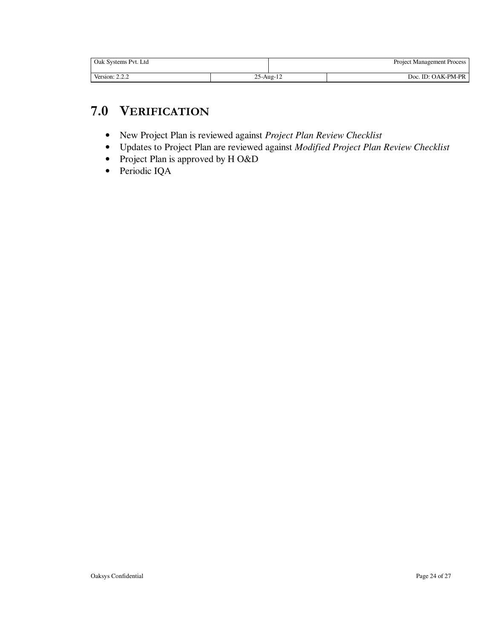| Oak Systems Pvt. Ltd |               | <b>Project Management Process</b> |                    |
|----------------------|---------------|-----------------------------------|--------------------|
| Version: $2.2.2$     | $25 - Aug-12$ |                                   | Doc. ID: OAK-PM-PR |

### **7.0 VERIFICATION**

- New Project Plan is reviewed against *Project Plan Review Checklist*
- Updates to Project Plan are reviewed against *Modified Project Plan Review Checklist*
- Project Plan is approved by H O&D
- Periodic IQA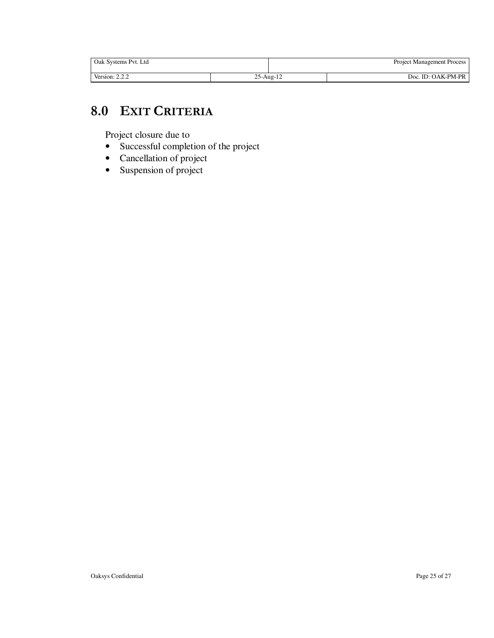| Oak Systems Pvt. Ltd |                 | <b>Project Management Process</b> |                    |  |
|----------------------|-----------------|-----------------------------------|--------------------|--|
| Version: $2.2.2$     | $25$ -Aug- $12$ |                                   | Doc. ID: OAK-PM-PR |  |

### **8.0 EXIT CRITERIA**

Project closure due to

- Successful completion of the project
- Cancellation of project
- Suspension of project